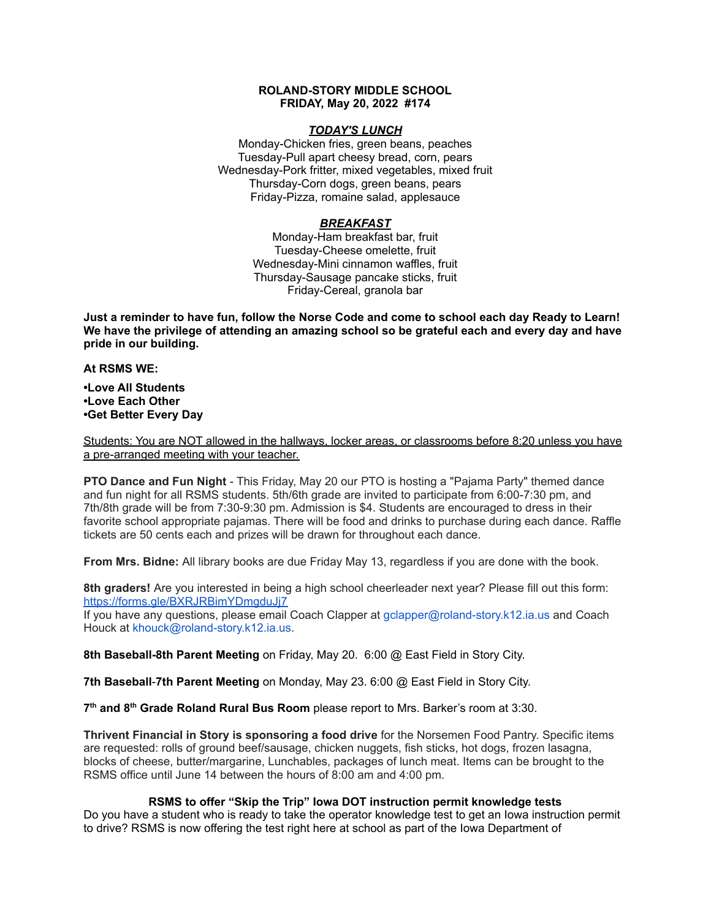# **ROLAND-STORY MIDDLE SCHOOL FRIDAY, May 20, 2022 #174**

# *TODAY'S LUNCH*

Monday-Chicken fries, green beans, peaches Tuesday-Pull apart cheesy bread, corn, pears Wednesday-Pork fritter, mixed vegetables, mixed fruit Thursday-Corn dogs, green beans, pears Friday-Pizza, romaine salad, applesauce

# *BREAKFAST*

Monday-Ham breakfast bar, fruit Tuesday-Cheese omelette, fruit Wednesday-Mini cinnamon waffles, fruit Thursday-Sausage pancake sticks, fruit Friday-Cereal, granola bar

Just a reminder to have fun, follow the Norse Code and come to school each day Ready to Learn! **We have the privilege of attending an amazing school so be grateful each and every day and have pride in our building.**

## **At RSMS WE:**

**•Love All Students •Love Each Other •Get Better Every Day**

Students: You are NOT allowed in the hallways, locker areas, or classrooms before 8:20 unless you have a pre-arranged meeting with your teacher.

**PTO Dance and Fun Night** - This Friday, May 20 our PTO is hosting a "Pajama Party" themed dance and fun night for all RSMS students. 5th/6th grade are invited to participate from 6:00-7:30 pm, and 7th/8th grade will be from 7:30-9:30 pm. Admission is \$4. Students are encouraged to dress in their favorite school appropriate pajamas. There will be food and drinks to purchase during each dance. Raffle tickets are 50 cents each and prizes will be drawn for throughout each dance.

**From Mrs. Bidne:** All library books are due Friday May 13, regardless if you are done with the book.

**8th graders!** Are you interested in being a high school cheerleader next year? Please fill out this form[:](https://forms.gle/BXRJRBimYDmgduJj7) <https://forms.gle/BXRJRBimYDmgduJj7>

If you have any questions, please email Coach Clapper at gclapper@roland-story.k12.ia.us and Coach Houck at khouck@roland-story.k12.ia.us.

**8th Baseball-8th Parent Meeting** on Friday, May 20. 6:00 @ East Field in Story City.

**7th Baseball**-**7th Parent Meeting** on Monday, May 23. 6:00 @ East Field in Story City.

**7 th and 8 th Grade Roland Rural Bus Room** please report to Mrs. Barker's room at 3:30.

**Thrivent Financial in Story is sponsoring a food drive** for the Norsemen Food Pantry. Specific items are requested: rolls of ground beef/sausage, chicken nuggets, fish sticks, hot dogs, frozen lasagna, blocks of cheese, butter/margarine, Lunchables, packages of lunch meat. Items can be brought to the RSMS office until June 14 between the hours of 8:00 am and 4:00 pm.

## **RSMS to offer "Skip the Trip" Iowa DOT instruction permit knowledge tests**

Do you have a student who is ready to take the operator knowledge test to get an Iowa instruction permit to drive? RSMS is now offering the test right here at school as part of the Iowa Department of